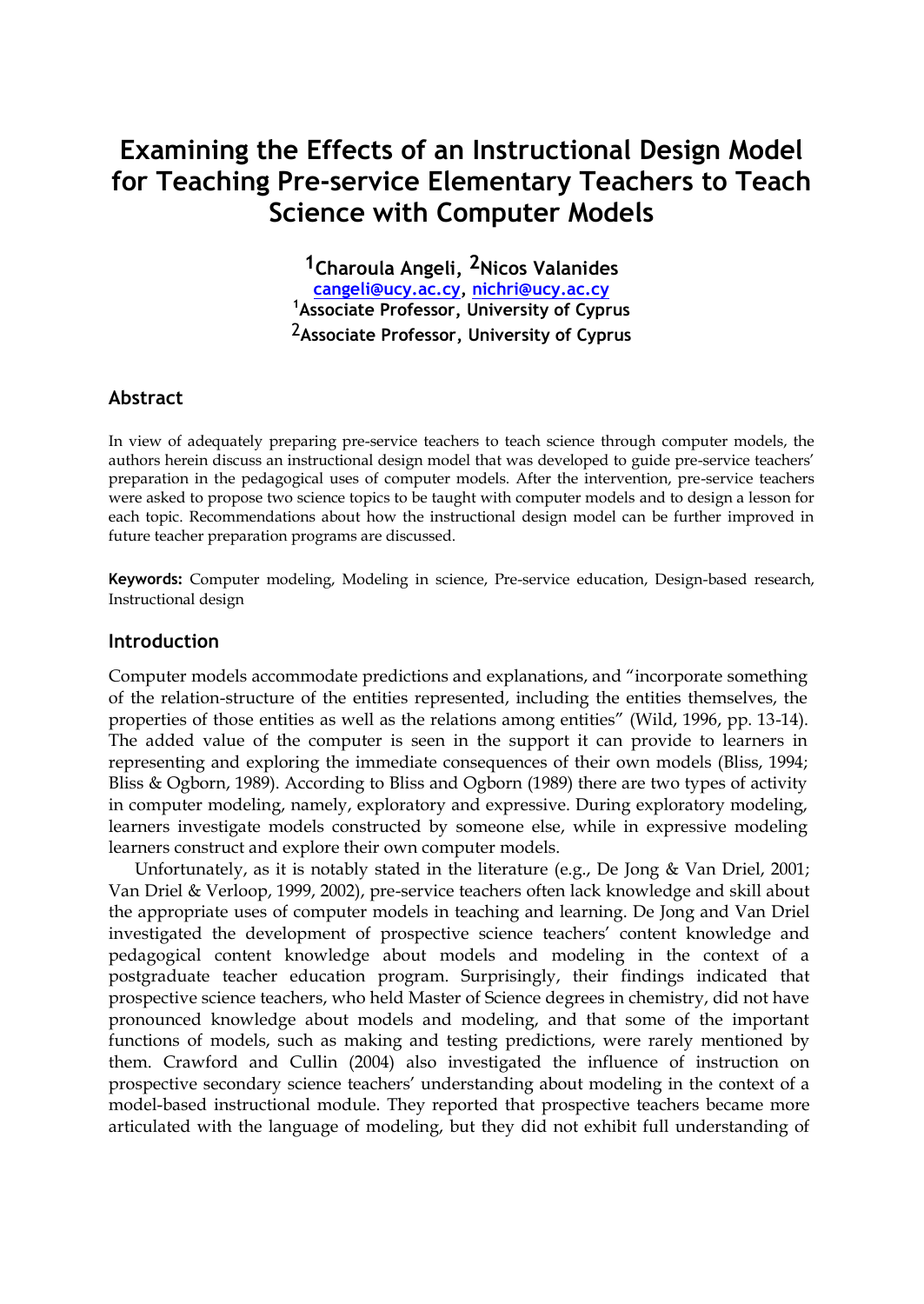# **Examining the Effects of an Instructional Design Model for Teaching Pre-service Elementary Teachers to Teach Science with Computer Models**

**1Charoula Angeli, 2Nicos Valanides [cangeli@ucy.ac.cy,](mailto:cangeli@ucy.ac.cy) [nichri@ucy.ac.cy](mailto:nichri@ucy.ac.cy) <sup>1</sup>Associate Professor, University of Cyprus** 2**Associate Professor, University of Cyprus**

## **Abstract**

In view of adequately preparing pre-service teachers to teach science through computer models, the authors herein discuss an instructional design model that was developed to guide pre-service teachers' preparation in the pedagogical uses of computer models. After the intervention, pre-service teachers were asked to propose two science topics to be taught with computer models and to design a lesson for each topic. Recommendations about how the instructional design model can be further improved in future teacher preparation programs are discussed.

**Keywords:** Computer modeling, Modeling in science, Pre-service education, Design-based research, Instructional design

#### **Introduction**

Computer models accommodate predictions and explanations, and "incorporate something of the relation-structure of the entities represented, including the entities themselves, the properties of those entities as well as the relations among entities" (Wild, 1996, pp. 13-14). The added value of the computer is seen in the support it can provide to learners in representing and exploring the immediate consequences of their own models (Bliss, 1994; Bliss & Ogborn, 1989). According to Bliss and Ogborn (1989) there are two types of activity in computer modeling, namely, exploratory and expressive. During exploratory modeling, learners investigate models constructed by someone else, while in expressive modeling learners construct and explore their own computer models.

Unfortunately, as it is notably stated in the literature (e.g., De Jong & Van Driel, 2001; Van Driel & Verloop, 1999, 2002), pre-service teachers often lack knowledge and skill about the appropriate uses of computer models in teaching and learning. De Jong and Van Driel investigated the development of prospective science teachers' content knowledge and pedagogical content knowledge about models and modeling in the context of a postgraduate teacher education program. Surprisingly, their findings indicated that prospective science teachers, who held Master of Science degrees in chemistry, did not have pronounced knowledge about models and modeling, and that some of the important functions of models, such as making and testing predictions, were rarely mentioned by them. Crawford and Cullin (2004) also investigated the influence of instruction on prospective secondary science teachers' understanding about modeling in the context of a model-based instructional module. They reported that prospective teachers became more articulated with the language of modeling, but they did not exhibit full understanding of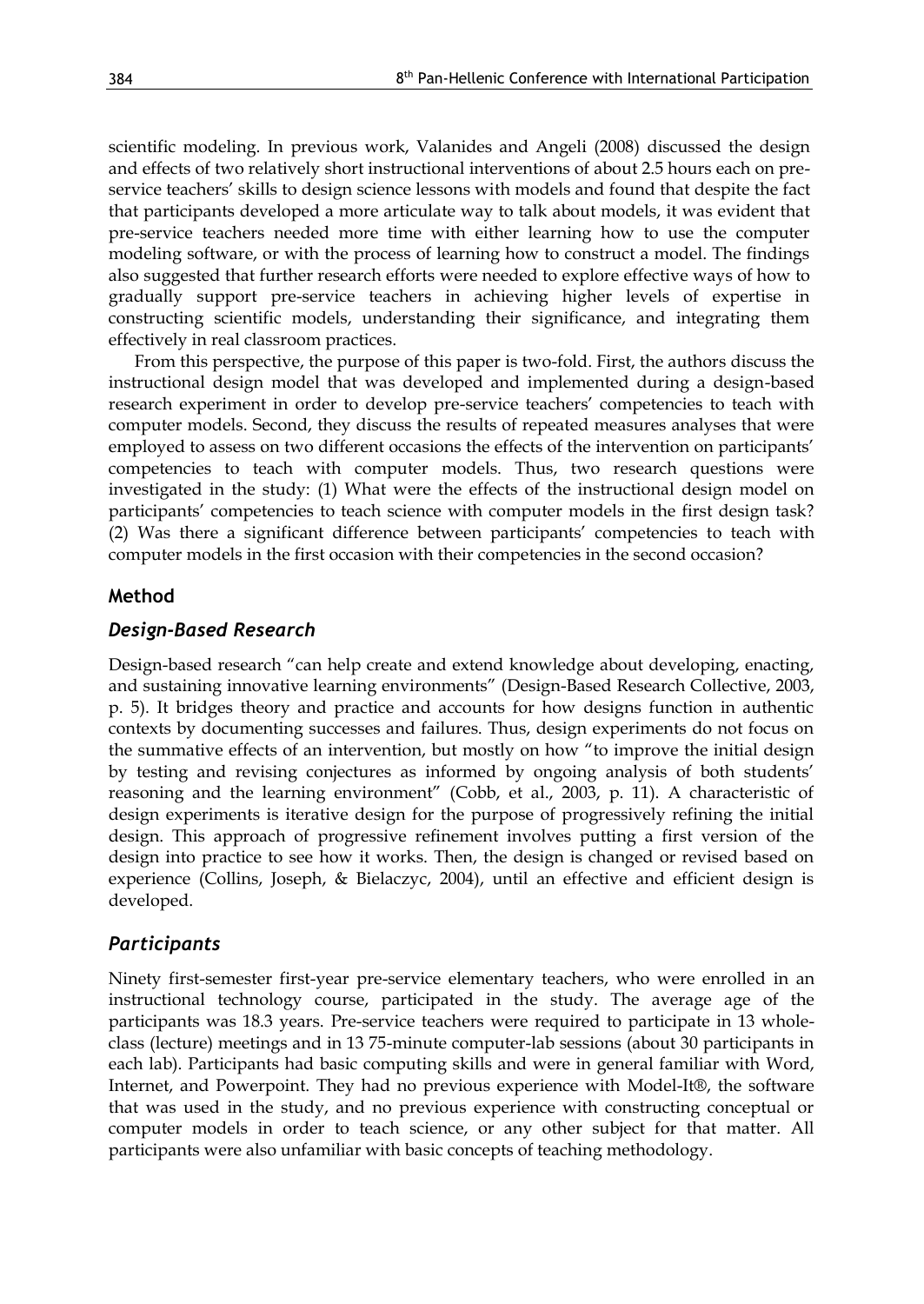scientific modeling. In previous work, Valanides and Angeli (2008) discussed the design and effects of two relatively short instructional interventions of about 2.5 hours each on preservice teachers' skills to design science lessons with models and found that despite the fact that participants developed a more articulate way to talk about models, it was evident that pre-service teachers needed more time with either learning how to use the computer modeling software, or with the process of learning how to construct a model. The findings also suggested that further research efforts were needed to explore effective ways of how to gradually support pre-service teachers in achieving higher levels of expertise in constructing scientific models, understanding their significance, and integrating them effectively in real classroom practices.

 From this perspective, the purpose of this paper is two-fold. First, the authors discuss the instructional design model that was developed and implemented during a design-based research experiment in order to develop pre-service teachers' competencies to teach with computer models. Second, they discuss the results of repeated measures analyses that were employed to assess on two different occasions the effects of the intervention on participants' competencies to teach with computer models. Thus, two research questions were investigated in the study: (1) What were the effects of the instructional design model on participants' competencies to teach science with computer models in the first design task? (2) Was there a significant difference between participants' competencies to teach with computer models in the first occasion with their competencies in the second occasion?

### **Method**

### *Design-Based Research*

Design-based research "can help create and extend knowledge about developing, enacting, and sustaining innovative learning environments" (Design-Based Research Collective, 2003, p. 5). It bridges theory and practice and accounts for how designs function in authentic contexts by documenting successes and failures. Thus, design experiments do not focus on the summative effects of an intervention, but mostly on how "to improve the initial design by testing and revising conjectures as informed by ongoing analysis of both students' reasoning and the learning environment" (Cobb, et al., 2003, p. 11). A characteristic of design experiments is iterative design for the purpose of progressively refining the initial design. This approach of progressive refinement involves putting a first version of the design into practice to see how it works. Then, the design is changed or revised based on experience (Collins, Joseph, & Bielaczyc, 2004), until an effective and efficient design is developed.

#### *Participants*

Ninety first-semester first-year pre-service elementary teachers, who were enrolled in an instructional technology course, participated in the study. The average age of the participants was 18.3 years. Pre-service teachers were required to participate in 13 wholeclass (lecture) meetings and in 13 75-minute computer-lab sessions (about 30 participants in each lab). Participants had basic computing skills and were in general familiar with Word, Internet, and Powerpoint. They had no previous experience with Model-It®, the software that was used in the study, and no previous experience with constructing conceptual or computer models in order to teach science, or any other subject for that matter. All participants were also unfamiliar with basic concepts of teaching methodology.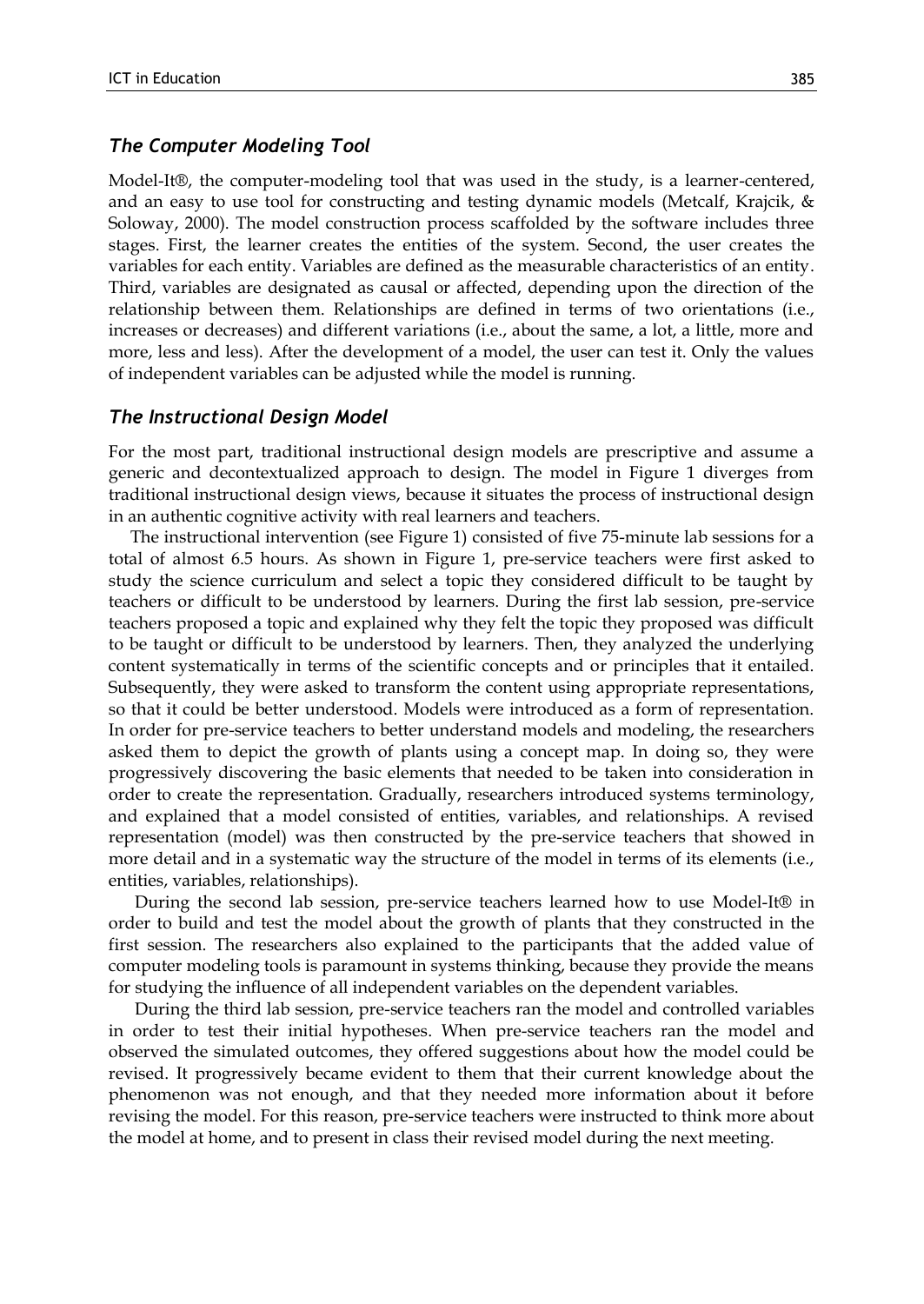#### *The Computer Modeling Tool*

Model-It®, the computer-modeling tool that was used in the study, is a learner-centered, and an easy to use tool for constructing and testing dynamic models (Metcalf, Krajcik, & Soloway, 2000). The model construction process scaffolded by the software includes three stages. First, the learner creates the entities of the system. Second, the user creates the variables for each entity. Variables are defined as the measurable characteristics of an entity. Third, variables are designated as causal or affected, depending upon the direction of the relationship between them. Relationships are defined in terms of two orientations (i.e., increases or decreases) and different variations (i.e., about the same, a lot, a little, more and more, less and less). After the development of a model, the user can test it. Only the values of independent variables can be adjusted while the model is running.

#### *The Instructional Design Model*

For the most part, traditional instructional design models are prescriptive and assume a generic and decontextualized approach to design. The model in Figure 1 diverges from traditional instructional design views, because it situates the process of instructional design in an authentic cognitive activity with real learners and teachers.

 The instructional intervention (see Figure 1) consisted of five 75-minute lab sessions for a total of almost 6.5 hours. As shown in Figure 1, pre-service teachers were first asked to study the science curriculum and select a topic they considered difficult to be taught by teachers or difficult to be understood by learners. During the first lab session, pre-service teachers proposed a topic and explained why they felt the topic they proposed was difficult to be taught or difficult to be understood by learners. Then, they analyzed the underlying content systematically in terms of the scientific concepts and or principles that it entailed. Subsequently, they were asked to transform the content using appropriate representations, so that it could be better understood. Models were introduced as a form of representation. In order for pre-service teachers to better understand models and modeling, the researchers asked them to depict the growth of plants using a concept map. In doing so, they were progressively discovering the basic elements that needed to be taken into consideration in order to create the representation. Gradually, researchers introduced systems terminology, and explained that a model consisted of entities, variables, and relationships. A revised representation (model) was then constructed by the pre-service teachers that showed in more detail and in a systematic way the structure of the model in terms of its elements (i.e., entities, variables, relationships).

 During the second lab session, pre-service teachers learned how to use Model-It® in order to build and test the model about the growth of plants that they constructed in the first session. The researchers also explained to the participants that the added value of computer modeling tools is paramount in systems thinking, because they provide the means for studying the influence of all independent variables on the dependent variables.

 During the third lab session, pre-service teachers ran the model and controlled variables in order to test their initial hypotheses. When pre-service teachers ran the model and observed the simulated outcomes, they offered suggestions about how the model could be revised. It progressively became evident to them that their current knowledge about the phenomenon was not enough, and that they needed more information about it before revising the model. For this reason, pre-service teachers were instructed to think more about the model at home, and to present in class their revised model during the next meeting.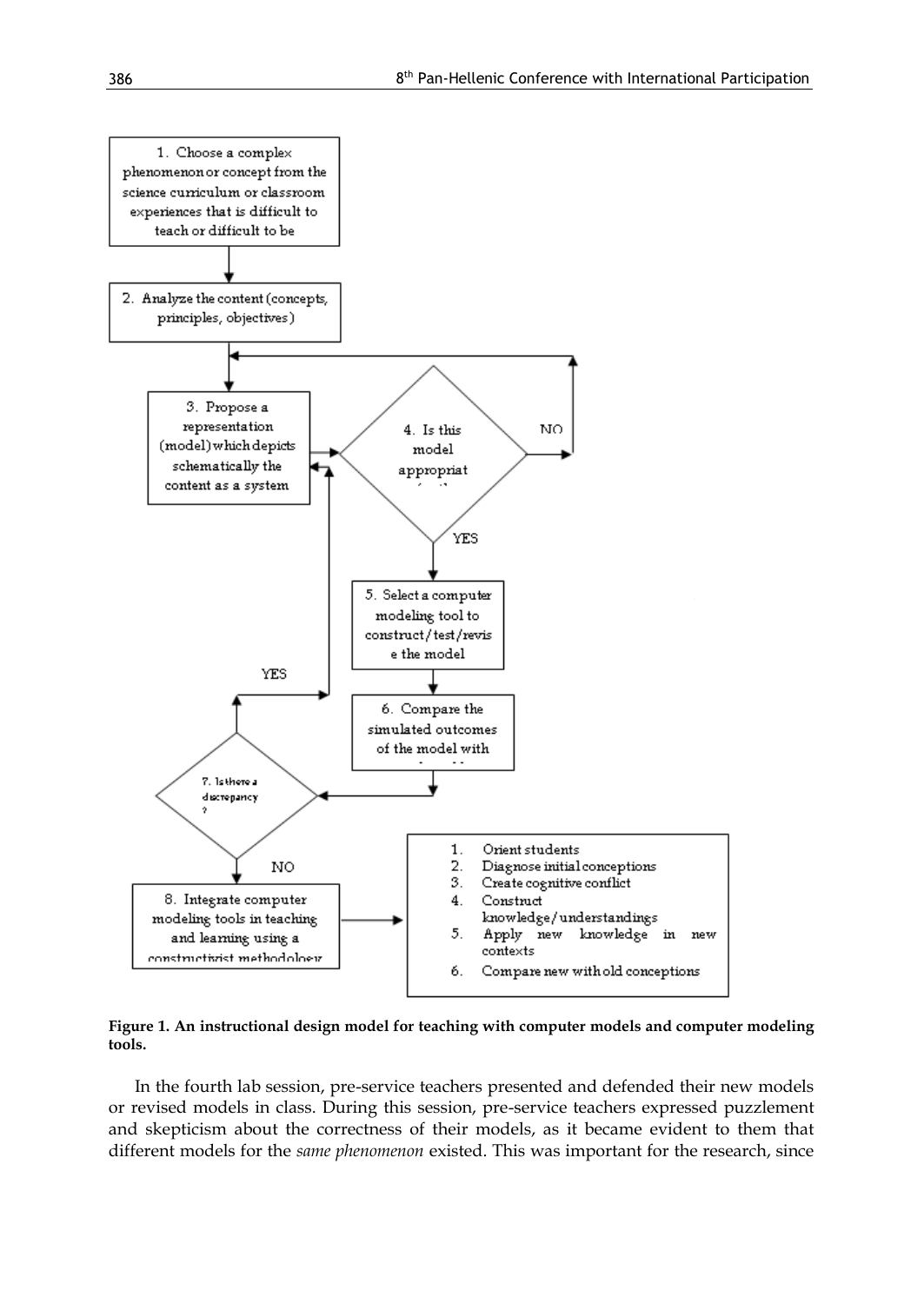

**Figure 1. An instructional design model for teaching with computer models and computer modeling tools.**

 In the fourth lab session, pre-service teachers presented and defended their new models or revised models in class. During this session, pre-service teachers expressed puzzlement and skepticism about the correctness of their models, as it became evident to them that different models for the *same phenomenon* existed. This was important for the research, since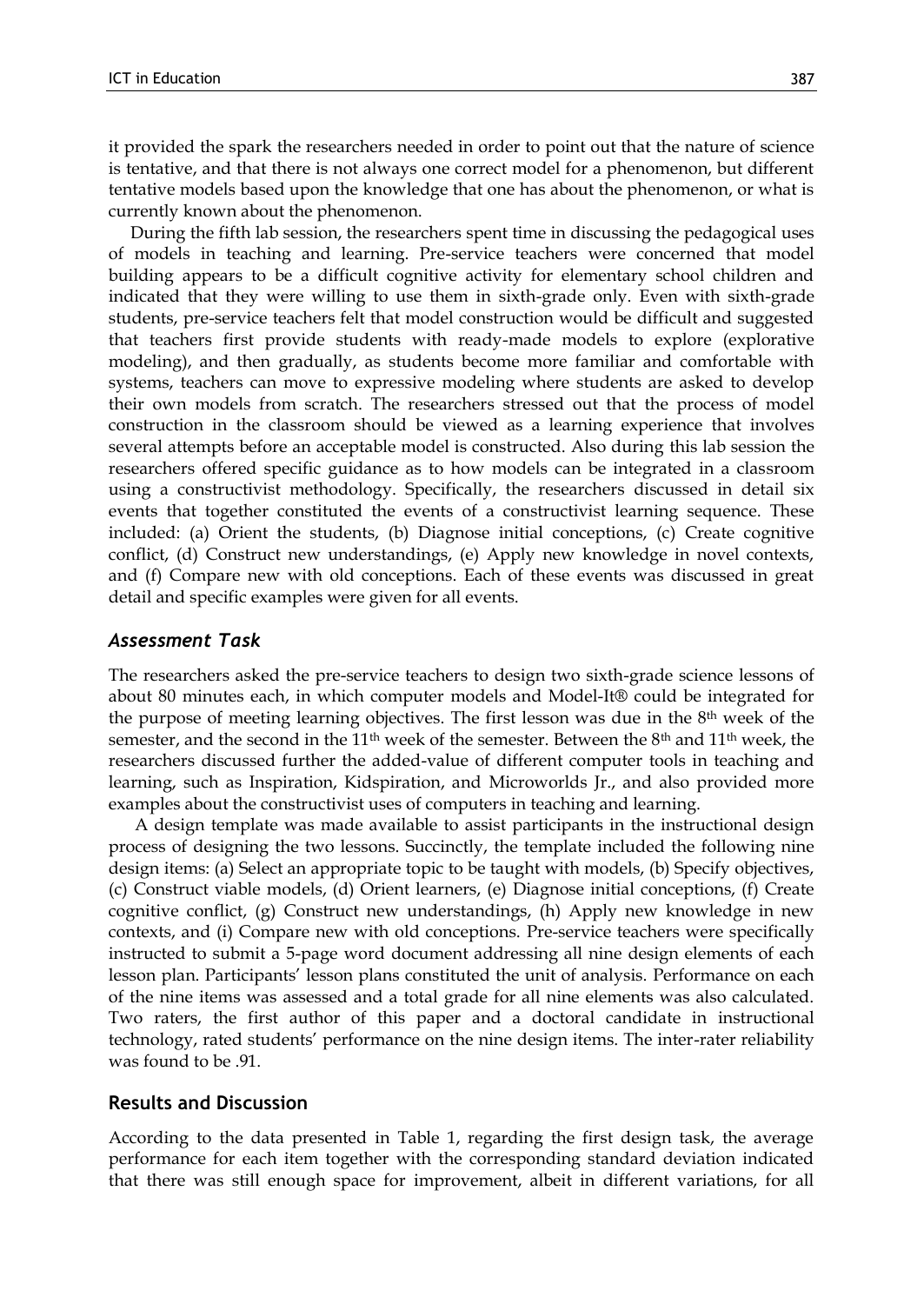it provided the spark the researchers needed in order to point out that the nature of science is tentative, and that there is not always one correct model for a phenomenon, but different tentative models based upon the knowledge that one has about the phenomenon, or what is currently known about the phenomenon.

 During the fifth lab session, the researchers spent time in discussing the pedagogical uses of models in teaching and learning. Pre-service teachers were concerned that model building appears to be a difficult cognitive activity for elementary school children and indicated that they were willing to use them in sixth-grade only. Even with sixth-grade students, pre-service teachers felt that model construction would be difficult and suggested that teachers first provide students with ready-made models to explore (explorative modeling), and then gradually, as students become more familiar and comfortable with systems, teachers can move to expressive modeling where students are asked to develop their own models from scratch. The researchers stressed out that the process of model construction in the classroom should be viewed as a learning experience that involves several attempts before an acceptable model is constructed. Also during this lab session the researchers offered specific guidance as to how models can be integrated in a classroom using a constructivist methodology. Specifically, the researchers discussed in detail six events that together constituted the events of a constructivist learning sequence. These included: (a) Orient the students, (b) Diagnose initial conceptions, (c) Create cognitive conflict, (d) Construct new understandings, (e) Apply new knowledge in novel contexts, and (f) Compare new with old conceptions. Each of these events was discussed in great detail and specific examples were given for all events.

#### *Assessment Task*

The researchers asked the pre-service teachers to design two sixth-grade science lessons of about 80 minutes each, in which computer models and Model-It® could be integrated for the purpose of meeting learning objectives. The first lesson was due in the 8th week of the semester, and the second in the 11<sup>th</sup> week of the semester. Between the 8<sup>th</sup> and 11<sup>th</sup> week, the researchers discussed further the added-value of different computer tools in teaching and learning, such as Inspiration, Kidspiration, and Microworlds Jr., and also provided more examples about the constructivist uses of computers in teaching and learning.

 A design template was made available to assist participants in the instructional design process of designing the two lessons. Succinctly, the template included the following nine design items: (a) Select an appropriate topic to be taught with models, (b) Specify objectives, (c) Construct viable models, (d) Orient learners, (e) Diagnose initial conceptions, (f) Create cognitive conflict, (g) Construct new understandings, (h) Apply new knowledge in new contexts, and (i) Compare new with old conceptions. Pre-service teachers were specifically instructed to submit a 5-page word document addressing all nine design elements of each lesson plan. Participants' lesson plans constituted the unit of analysis. Performance on each of the nine items was assessed and a total grade for all nine elements was also calculated. Two raters, the first author of this paper and a doctoral candidate in instructional technology, rated students' performance on the nine design items. The inter-rater reliability was found to be .91.

#### **Results and Discussion**

According to the data presented in Table 1, regarding the first design task, the average performance for each item together with the corresponding standard deviation indicated that there was still enough space for improvement, albeit in different variations, for all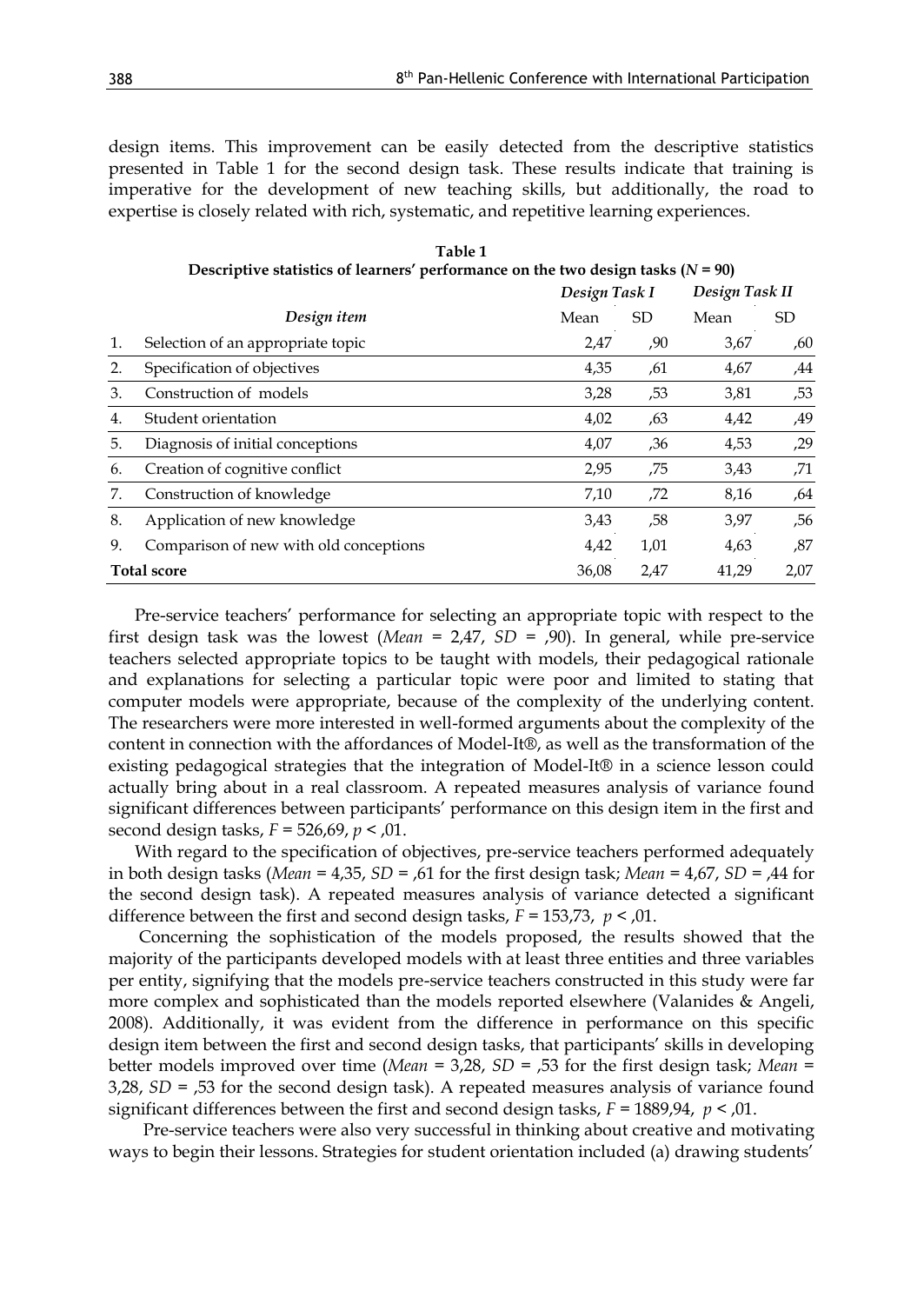design items. This improvement can be easily detected from the descriptive statistics presented in Table 1 for the second design task. These results indicate that training is imperative for the development of new teaching skills, but additionally, the road to expertise is closely related with rich, systematic, and repetitive learning experiences.

| Table 1<br>Descriptive statistics of learners' performance on the two design tasks $(N = 90)$ |                                        |       |               |       |                |  |
|-----------------------------------------------------------------------------------------------|----------------------------------------|-------|---------------|-------|----------------|--|
|                                                                                               |                                        |       | Design Task I |       | Design Task II |  |
|                                                                                               | Design item                            | Mean  | SD            | Mean  | SD             |  |
| 1.                                                                                            | Selection of an appropriate topic      | 2,47  | ,90           | 3,67  | ,60            |  |
| 2.                                                                                            | Specification of objectives            | 4,35  | ,61           | 4,67  | ,44            |  |
| 3.                                                                                            | Construction of models                 | 3,28  | ,53           | 3,81  | ,53            |  |
| 4.                                                                                            | Student orientation                    | 4,02  | .63           | 4,42  | ,49            |  |
| 5.                                                                                            | Diagnosis of initial conceptions       | 4,07  | ,36           | 4,53  | ,29            |  |
| 6.                                                                                            | Creation of cognitive conflict         | 2,95  | ,75           | 3,43  | ,71            |  |
| 7.                                                                                            | Construction of knowledge              | 7,10  | ,72           | 8,16  | ,64            |  |
| 8.                                                                                            | Application of new knowledge           | 3,43  | ,58           | 3,97  | ,56            |  |
| 9.                                                                                            | Comparison of new with old conceptions | 4,42  | 1,01          | 4,63  | ,87            |  |
| <b>Total score</b>                                                                            |                                        | 36,08 | 2,47          | 41,29 | 2,07           |  |

 Pre-service teachers' performance for selecting an appropriate topic with respect to the first design task was the lowest (*Mean* = 2,47, *SD* = ,90). In general, while pre-service teachers selected appropriate topics to be taught with models, their pedagogical rationale and explanations for selecting a particular topic were poor and limited to stating that computer models were appropriate, because of the complexity of the underlying content. The researchers were more interested in well-formed arguments about the complexity of the content in connection with the affordances of Model-It®, as well as the transformation of the existing pedagogical strategies that the integration of Model-It® in a science lesson could actually bring about in a real classroom. A repeated measures analysis of variance found significant differences between participants' performance on this design item in the first and second design tasks, *F* = 526,69, *p* < ,01.

 With regard to the specification of objectives, pre-service teachers performed adequately in both design tasks (*Mean* = 4,35, *SD* = ,61 for the first design task; *Mean* = 4,67, *SD* = ,44 for the second design task). A repeated measures analysis of variance detected a significant difference between the first and second design tasks, *F* = 153,73, *p* < ,01.

 Concerning the sophistication of the models proposed, the results showed that the majority of the participants developed models with at least three entities and three variables per entity, signifying that the models pre-service teachers constructed in this study were far more complex and sophisticated than the models reported elsewhere (Valanides & Angeli, 2008). Additionally, it was evident from the difference in performance on this specific design item between the first and second design tasks, that participants' skills in developing better models improved over time (*Mean* = 3,28, *SD* = ,53 for the first design task; *Mean* = 3,28, *SD* = ,53 for the second design task). A repeated measures analysis of variance found significant differences between the first and second design tasks, *F* = 1889,94, *p* < ,01.

 Pre-service teachers were also very successful in thinking about creative and motivating ways to begin their lessons. Strategies for student orientation included (a) drawing students'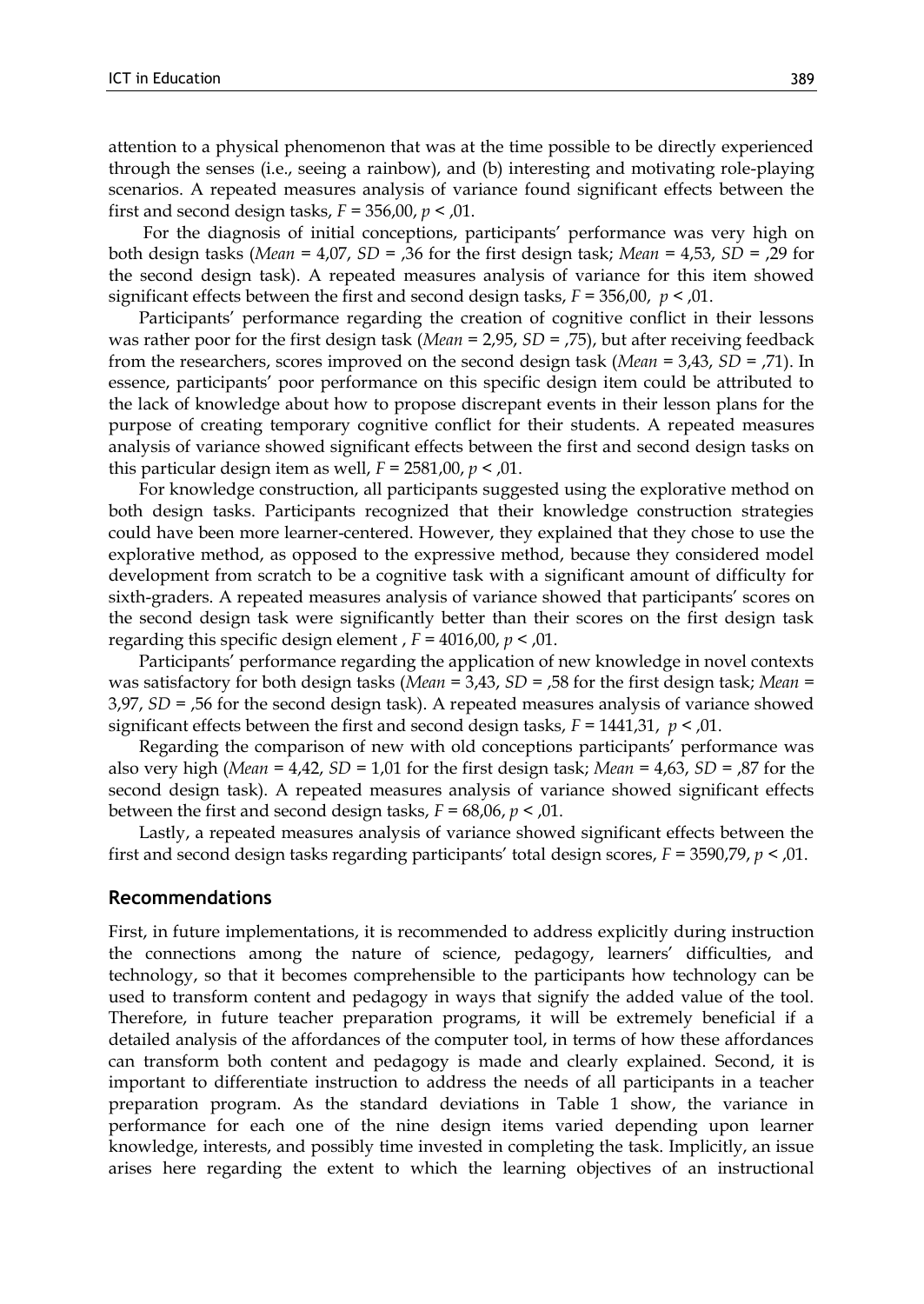attention to a physical phenomenon that was at the time possible to be directly experienced through the senses (i.e., seeing a rainbow), and (b) interesting and motivating role-playing scenarios. A repeated measures analysis of variance found significant effects between the first and second design tasks,  $F = 356,00, p < 0.01$ .

 For the diagnosis of initial conceptions, participants' performance was very high on both design tasks (*Mean* = 4,07, *SD* = ,36 for the first design task; *Mean* = 4,53, *SD* = ,29 for the second design task). A repeated measures analysis of variance for this item showed significant effects between the first and second design tasks, *F* = 356,00, *p* < ,01.

 Participants' performance regarding the creation of cognitive conflict in their lessons was rather poor for the first design task (*Mean* = 2,95, *SD* = ,75), but after receiving feedback from the researchers, scores improved on the second design task (*Mean* = 3,43, *SD* = ,71). In essence, participants' poor performance on this specific design item could be attributed to the lack of knowledge about how to propose discrepant events in their lesson plans for the purpose of creating temporary cognitive conflict for their students. A repeated measures analysis of variance showed significant effects between the first and second design tasks on this particular design item as well,  $F = 2581,00, p < 0.01$ .

 For knowledge construction, all participants suggested using the explorative method on both design tasks. Participants recognized that their knowledge construction strategies could have been more learner-centered. However, they explained that they chose to use the explorative method, as opposed to the expressive method, because they considered model development from scratch to be a cognitive task with a significant amount of difficulty for sixth-graders. A repeated measures analysis of variance showed that participants' scores on the second design task were significantly better than their scores on the first design task regarding this specific design element , *F* = 4016,00, *p* < ,01.

 Participants' performance regarding the application of new knowledge in novel contexts was satisfactory for both design tasks (*Mean* = 3,43, *SD* = ,58 for the first design task; *Mean* = 3,97, *SD* = ,56 for the second design task). A repeated measures analysis of variance showed significant effects between the first and second design tasks, *F* = 1441,31, *p* < ,01.

 Regarding the comparison of new with old conceptions participants' performance was also very high (*Mean* = 4,42, *SD* = 1,01 for the first design task; *Mean* = 4,63, *SD* = ,87 for the second design task). A repeated measures analysis of variance showed significant effects between the first and second design tasks, *F* = 68,06, *p* < ,01.

 Lastly, a repeated measures analysis of variance showed significant effects between the first and second design tasks regarding participants' total design scores, *F* = 3590,79, *p* < ,01.

#### **Recommendations**

First, in future implementations, it is recommended to address explicitly during instruction the connections among the nature of science, pedagogy, learners' difficulties, and technology, so that it becomes comprehensible to the participants how technology can be used to transform content and pedagogy in ways that signify the added value of the tool. Therefore, in future teacher preparation programs, it will be extremely beneficial if a detailed analysis of the affordances of the computer tool, in terms of how these affordances can transform both content and pedagogy is made and clearly explained. Second, it is important to differentiate instruction to address the needs of all participants in a teacher preparation program. As the standard deviations in Table 1 show, the variance in performance for each one of the nine design items varied depending upon learner knowledge, interests, and possibly time invested in completing the task. Implicitly, an issue arises here regarding the extent to which the learning objectives of an instructional